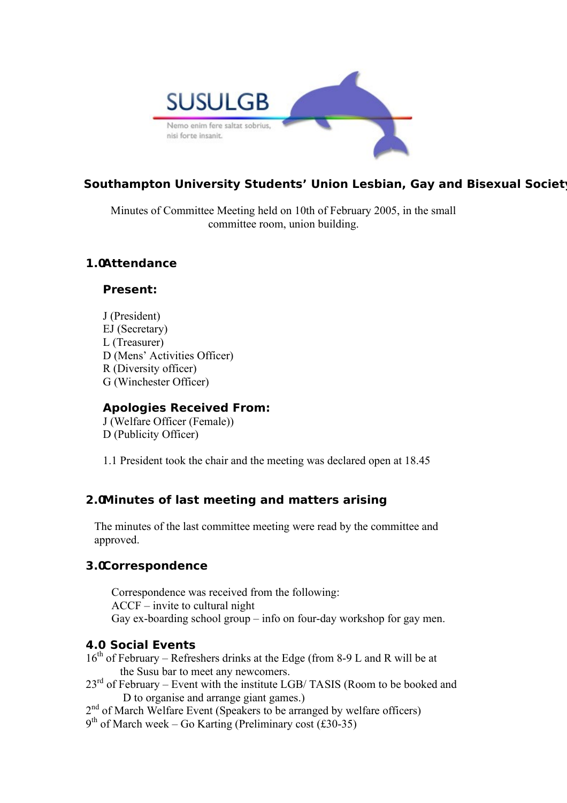

# **Southampton University Students' Union Lesbian, Gay and Bisexual Society**

Minutes of Committee Meeting held on 10th of February 2005, in the small committee room, union building.

## **1.0Attendance**

#### **Present:**

J (President) EJ (Secretary) L (Treasurer) D (Mens' Activities Officer) R (Diversity officer) G (Winchester Officer)

### **Apologies Received From:**

J (Welfare Officer (Female)) D (Publicity Officer)

1.1 President took the chair and the meeting was declared open at 18.45

### **2.0Minutes of last meeting and matters arising**

The minutes of the last committee meeting were read by the committee and approved.

### **3.0Correspondence**

Correspondence was received from the following: ACCF – invite to cultural night Gay ex-boarding school group – info on four-day workshop for gay men.

### **4.0 Social Events**

- 16<sup>th</sup> of February Refreshers drinks at the Edge (from 8-9 L and R will be at the Susu bar to meet any newcomers.
- $23<sup>rd</sup>$  of February Event with the institute LGB/ TASIS (Room to be booked and D to organise and arrange giant games.)
- 2<sup>nd</sup> of March Welfare Event (Speakers to be arranged by welfare officers)
- 9 th of March week Go Karting (Preliminary cost (£30-35)